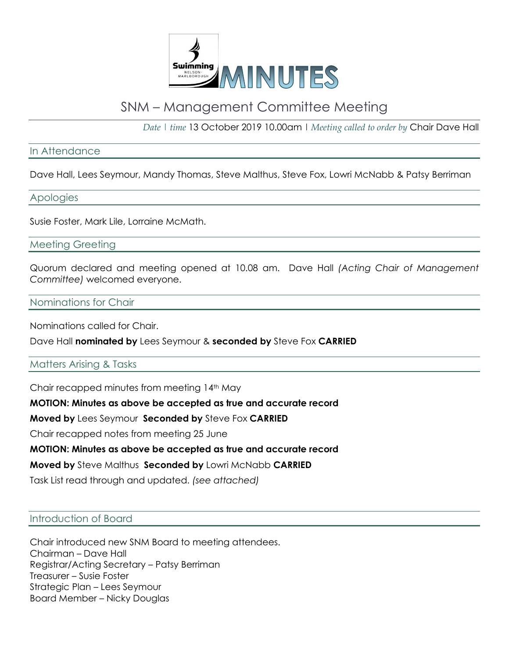

# SNM – Management Committee Meeting

*Date | time* 13 October 2019 10.00am | *Meeting called to order by* Chair Dave Hall

## In Attendance

Dave Hall, Lees Seymour, Mandy Thomas, Steve Malthus, Steve Fox, Lowri McNabb & Patsy Berriman

#### Apologies

Susie Foster, Mark Lile, Lorraine McMath.

Meeting Greeting

Quorum declared and meeting opened at 10.08 am. Dave Hall *(Acting Chair of Management Committee)* welcomed everyone.

## Nominations for Chair

Nominations called for Chair.

Dave Hall **nominated by** Lees Seymour & **seconded by** Steve Fox **CARRIED**

#### Matters Arising & Tasks

Chair recapped minutes from meeting 14th May

**MOTION: Minutes as above be accepted as true and accurate record** 

**Moved by** Lees Seymour **Seconded by** Steve Fox **CARRIED**

Chair recapped notes from meeting 25 June

#### **MOTION: Minutes as above be accepted as true and accurate record**

**Moved by** Steve Malthus **Seconded by** Lowri McNabb **CARRIED**

Task List read through and updated. *(see attached)*

#### Introduction of Board

Chair introduced new SNM Board to meeting attendees. Chairman – Dave Hall Registrar/Acting Secretary – Patsy Berriman Treasurer – Susie Foster Strategic Plan – Lees Seymour Board Member – Nicky Douglas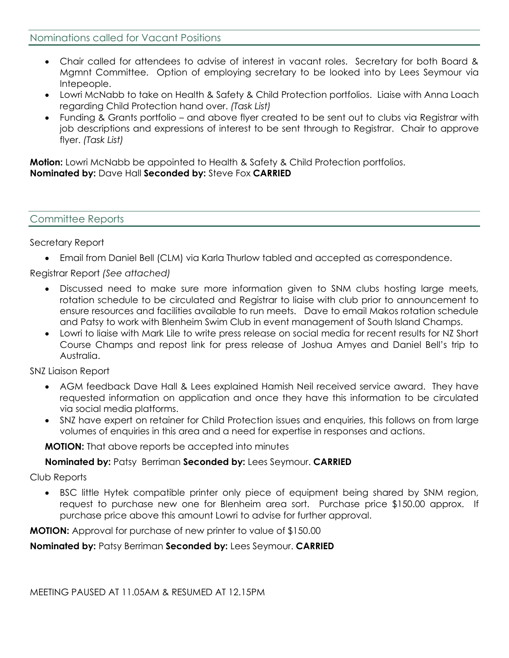- Chair called for attendees to advise of interest in vacant roles. Secretary for both Board & Mgmnt Committee. Option of employing secretary to be looked into by Lees Seymour via Intepeople.
- Lowri McNabb to take on Health & Safety & Child Protection portfolios. Liaise with Anna Loach regarding Child Protection hand over. *(Task List)*
- Funding & Grants portfolio and above flyer created to be sent out to clubs via Registrar with job descriptions and expressions of interest to be sent through to Registrar. Chair to approve flyer. *(Task List)*

**Motion:** Lowri McNabb be appointed to Health & Safety & Child Protection portfolios. **Nominated by:** Dave Hall **Seconded by:** Steve Fox **CARRIED**

## Committee Reports

## Secretary Report

• Email from Daniel Bell (CLM) via Karla Thurlow tabled and accepted as correspondence.

Registrar Report *(See attached)*

- Discussed need to make sure more information given to SNM clubs hosting large meets, rotation schedule to be circulated and Registrar to liaise with club prior to announcement to ensure resources and facilities available to run meets. Dave to email Makos rotation schedule and Patsy to work with Blenheim Swim Club in event management of South Island Champs.
- Lowri to liaise with Mark Lile to write press release on social media for recent results for NZ Short Course Champs and repost link for press release of Joshua Amyes and Daniel Bell's trip to Australia.

#### SNZ Liaison Report

- AGM feedback Dave Hall & Lees explained Hamish Neil received service award. They have requested information on application and once they have this information to be circulated via social media platforms.
- SNZ have expert on retainer for Child Protection issues and enquiries, this follows on from large volumes of enquiries in this area and a need for expertise in responses and actions.

**MOTION:** That above reports be accepted into minutes

## **Nominated by:** Patsy Berriman **Seconded by:** Lees Seymour. **CARRIED**

Club Reports

BSC little Hytek compatible printer only piece of equipment being shared by SNM region, request to purchase new one for Blenheim area sort. Purchase price \$150.00 approx. If purchase price above this amount Lowri to advise for further approval.

**MOTION:** Approval for purchase of new printer to value of \$150.00

## **Nominated by:** Patsy Berriman **Seconded by:** Lees Seymour. **CARRIED**

MEETING PAUSED AT 11.05AM & RESUMED AT 12.15PM